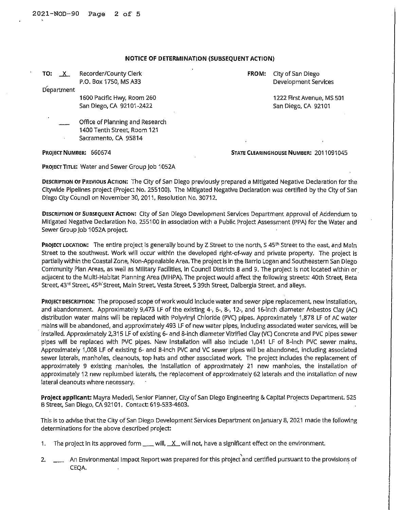## **NOTICE OF DETERMINATION (SUBSEQUENT ACTION)**

|                                 | <b>FROM:</b>                                                                    | City of San Diego                             |
|---------------------------------|---------------------------------------------------------------------------------|-----------------------------------------------|
|                                 |                                                                                 | Development Services                          |
|                                 |                                                                                 |                                               |
| 1600 Pacific Hwy, Room 260      |                                                                                 | 1222 First Avenue, MS 501                     |
| San Diego, CA 92101-2422        |                                                                                 | San Diego, CA 92101                           |
| Office of Planning and Research |                                                                                 |                                               |
| 1400 Tenth Street, Room 121     |                                                                                 |                                               |
| Sacramento, CA 95814            |                                                                                 |                                               |
|                                 |                                                                                 | <b>STATE CLEARINGHOUSE NUMBER: 2011091045</b> |
|                                 | Recorder/County Clerk<br>P.O. Box 1750, MS A33<br><b>PROJECT NUMBER: 660674</b> |                                               |

PROJECT TITLE: Water and Sewer Group Job 1052A

**DESCRIPTION OF PREVIOUS ACTION:** The City of San Diego previously prepared a Mitigated Negative Declaration for the Citywide Pipelines project (Project No. 255100), The Mitigated Negative Declaration was certified by the City of San Diego City Council on November 30, 2011, Resolution No, 30712.

**DESCRIPTION** OF **SUBSEQUENT ACTION:** City of San Diego Development Services Department approval of Addendum to Mitigated Negative Declaration No. 255100 in association with a Public Project Assessment (PPA) for the Water and Sewer Group Job 1052A project.

**PROJECT LOCATION:** The entire project is generally bound by Z Street to the north, S 45<sup>th</sup> Street to the east, and Main Street to the southwest. Work will occur within the developed right-of-way and private property, The project is partially within the Coastal Zone, Non-Appealable Area, The project Is In the Barrio Logan and Southeastern San Diego Community Plan Areas, as well as MIiitary Facilities, In Council Districts 8 and 9. The project is not located within or. adjacent to the Multi-Habitat Planning Area (MHPA). The project would affect the following streets: 40th Street, Beta Street, 43<sup>rd</sup> Street, 45<sup>th'</sup>Street, Main Street, Vesta Street, S 39th Street, Dalbergia Street, and alleys.

**PROJECT DESCRIPTION:** The proposed scope of work would Include water and sewer pipe replacement, new installation, and abandonment. Approximately 9,473 LF of the existing 4-, 6-, 8-, 12-, and 16-inch diameter Asbestos Clay (AC) distribution water mains will be replaced with Polyvinyl Chloride (PVC) pipes. Approximately 1,878 LF of AC water mains will be abandoned, and approximately 493 LF of new water pipes, Including associated water services, will be · installed. Approximately 2,315 LF of existing 6- and 8-inch diameter Vitrified Clay (VC) Concrete and PVC pipes sewer pipes will be replaced with PVC pipes. New installation will also include 1,041 LF of 8-inch PVC sewer mains, Approximately 1,008 LF of existing 6- and 8-inch PVC and VC sewer pipes will be abandoned, including associated sewer laterals, manholes, cleanouts, top hats and other associated work. The project Includes the replacement of approximately 9 existing manholes, the installation of approximately 21 new manholes, the installation of approximately 12 new replumbed laterals, the replacement of approximately 62 laterals and the installation of new lateral cleanouts where necessary.

**Project applicant:** Mayra Mededl, Senior Planner, City of San Diego Engineering & Capital Projects Department. 525 B Street, San Diego, CA 92101. Contact: 619-533-4603.

This Is to advise that the City of San Diego Development Services Department on January 8, 2021 made the following determinations for the above described project:

- 1. The project in its approved form  $\mu$  will,  $\mu$  will not, have a significant effect on the environment.
- 2. \_\_\_\_ An Environmental Impact Report was prepared for this project and certified pursuant to the provisions of CEQA.